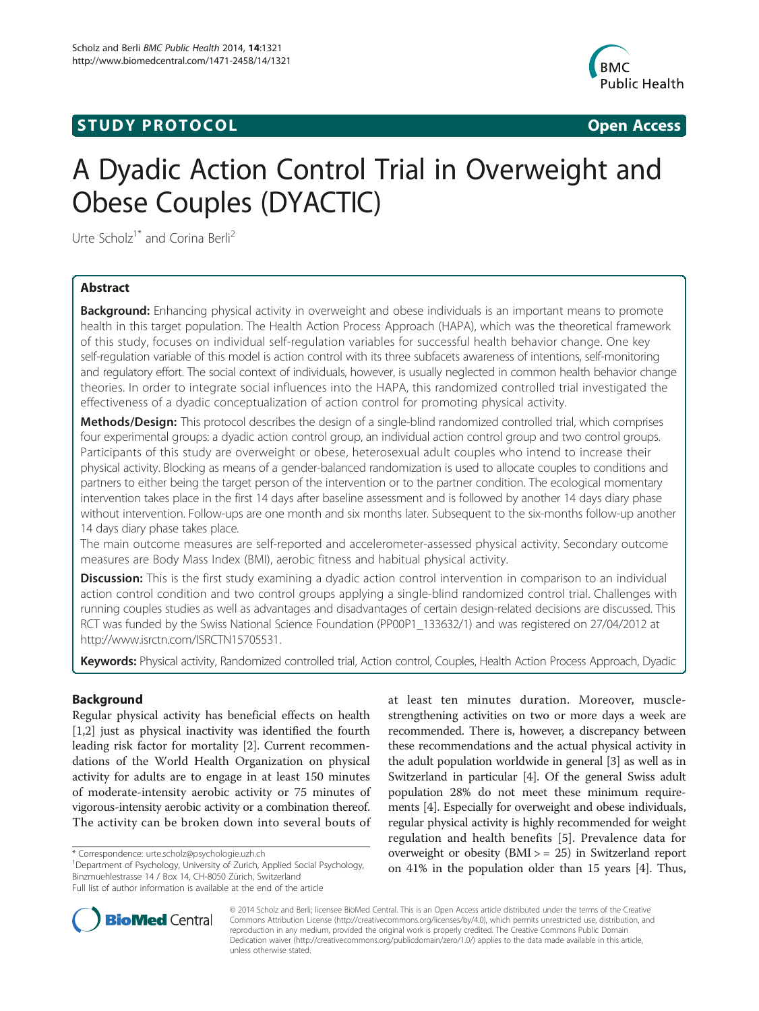## **STUDY PROTOCOL CONSUMING THE CONSUMING OPEN ACCESS**



# A Dyadic Action Control Trial in Overweight and Obese Couples (DYACTIC)

Urte Scholz<sup>1\*</sup> and Corina Berli<sup>2</sup>

## Abstract

Background: Enhancing physical activity in overweight and obese individuals is an important means to promote health in this target population. The Health Action Process Approach (HAPA), which was the theoretical framework of this study, focuses on individual self-regulation variables for successful health behavior change. One key self-regulation variable of this model is action control with its three subfacets awareness of intentions, self-monitoring and regulatory effort. The social context of individuals, however, is usually neglected in common health behavior change theories. In order to integrate social influences into the HAPA, this randomized controlled trial investigated the effectiveness of a dyadic conceptualization of action control for promoting physical activity.

Methods/Design: This protocol describes the design of a single-blind randomized controlled trial, which comprises four experimental groups: a dyadic action control group, an individual action control group and two control groups. Participants of this study are overweight or obese, heterosexual adult couples who intend to increase their physical activity. Blocking as means of a gender-balanced randomization is used to allocate couples to conditions and partners to either being the target person of the intervention or to the partner condition. The ecological momentary intervention takes place in the first 14 days after baseline assessment and is followed by another 14 days diary phase without intervention. Follow-ups are one month and six months later. Subsequent to the six-months follow-up another 14 days diary phase takes place.

The main outcome measures are self-reported and accelerometer-assessed physical activity. Secondary outcome measures are Body Mass Index (BMI), aerobic fitness and habitual physical activity.

**Discussion:** This is the first study examining a dyadic action control intervention in comparison to an individual action control condition and two control groups applying a single-blind randomized control trial. Challenges with running couples studies as well as advantages and disadvantages of certain design-related decisions are discussed. This RCT was funded by the Swiss National Science Foundation (PP00P1\_133632/1) and was registered on 27/04/2012 at <http://www.isrctn.com/ISRCTN15705531>.

Keywords: Physical activity, Randomized controlled trial, Action control, Couples, Health Action Process Approach, Dyadic

## Background

Regular physical activity has beneficial effects on health [[1,2\]](#page-7-0) just as physical inactivity was identified the fourth leading risk factor for mortality [[2\]](#page-7-0). Current recommendations of the World Health Organization on physical activity for adults are to engage in at least 150 minutes of moderate-intensity aerobic activity or 75 minutes of vigorous-intensity aerobic activity or a combination thereof. The activity can be broken down into several bouts of

<sup>1</sup>Department of Psychology, University of Zurich, Applied Social Psychology, Binzmuehlestrasse 14 / Box 14, CH-8050 Zürich, Switzerland Full list of author information is available at the end of the article



© 2014 Scholz and Berli; licensee BioMed Central. This is an Open Access article distributed under the terms of the Creative Commons Attribution License [\(http://creativecommons.org/licenses/by/4.0\)](http://creativecommons.org/licenses/by/4.0), which permits unrestricted use, distribution, and reproduction in any medium, provided the original work is properly credited. The Creative Commons Public Domain Dedication waiver [\(http://creativecommons.org/publicdomain/zero/1.0/](http://creativecommons.org/publicdomain/zero/1.0/)) applies to the data made available in this article, unless otherwise stated.

<sup>\*</sup> Correspondence: [urte.scholz@psychologie.uzh.ch](mailto:urte.scholz@psychologie.uzh.ch) <sup>1</sup>

at least ten minutes duration. Moreover, musclestrengthening activities on two or more days a week are recommended. There is, however, a discrepancy between these recommendations and the actual physical activity in the adult population worldwide in general [\[3](#page-7-0)] as well as in Switzerland in particular [\[4](#page-7-0)]. Of the general Swiss adult population 28% do not meet these minimum requirements [\[4](#page-7-0)]. Especially for overweight and obese individuals, regular physical activity is highly recommended for weight regulation and health benefits [[5](#page-7-0)]. Prevalence data for overweight or obesity (BMI > = 25) in Switzerland report on 41% in the population older than 15 years [[4\]](#page-7-0). Thus,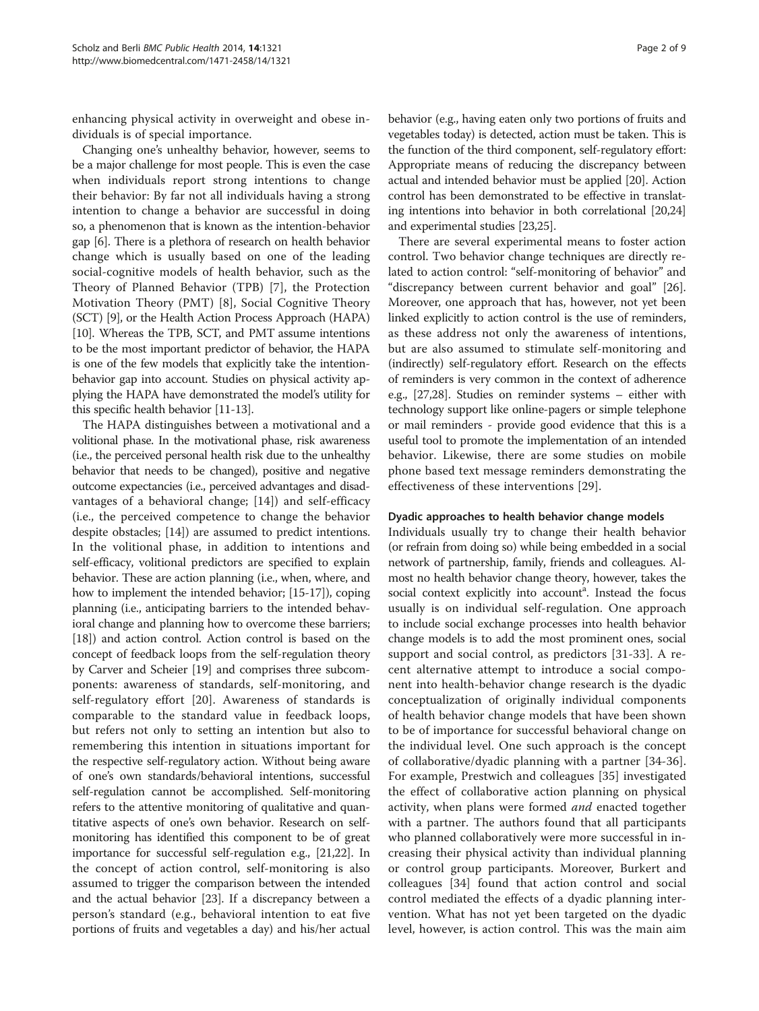enhancing physical activity in overweight and obese individuals is of special importance.

Changing one's unhealthy behavior, however, seems to be a major challenge for most people. This is even the case when individuals report strong intentions to change their behavior: By far not all individuals having a strong intention to change a behavior are successful in doing so, a phenomenon that is known as the intention-behavior gap [[6\]](#page-7-0). There is a plethora of research on health behavior change which is usually based on one of the leading social-cognitive models of health behavior, such as the Theory of Planned Behavior (TPB) [[7\]](#page-7-0), the Protection Motivation Theory (PMT) [[8](#page-7-0)], Social Cognitive Theory (SCT) [[9](#page-7-0)], or the Health Action Process Approach (HAPA) [[10](#page-7-0)]. Whereas the TPB, SCT, and PMT assume intentions to be the most important predictor of behavior, the HAPA is one of the few models that explicitly take the intentionbehavior gap into account. Studies on physical activity applying the HAPA have demonstrated the model's utility for this specific health behavior [[11](#page-7-0)-[13](#page-7-0)].

The HAPA distinguishes between a motivational and a volitional phase. In the motivational phase, risk awareness (i.e., the perceived personal health risk due to the unhealthy behavior that needs to be changed), positive and negative outcome expectancies (i.e., perceived advantages and disadvantages of a behavioral change; [\[14](#page-7-0)]) and self-efficacy (i.e., the perceived competence to change the behavior despite obstacles; [[14](#page-7-0)]) are assumed to predict intentions. In the volitional phase, in addition to intentions and self-efficacy, volitional predictors are specified to explain behavior. These are action planning (i.e., when, where, and how to implement the intended behavior; [[15](#page-7-0)-[17](#page-7-0)]), coping planning (i.e., anticipating barriers to the intended behavioral change and planning how to overcome these barriers; [[18](#page-7-0)]) and action control. Action control is based on the concept of feedback loops from the self-regulation theory by Carver and Scheier [[19](#page-7-0)] and comprises three subcomponents: awareness of standards, self-monitoring, and self-regulatory effort [[20\]](#page-7-0). Awareness of standards is comparable to the standard value in feedback loops, but refers not only to setting an intention but also to remembering this intention in situations important for the respective self-regulatory action. Without being aware of one's own standards/behavioral intentions, successful self-regulation cannot be accomplished. Self-monitoring refers to the attentive monitoring of qualitative and quantitative aspects of one's own behavior. Research on selfmonitoring has identified this component to be of great importance for successful self-regulation e.g., [\[21,22](#page-7-0)]. In the concept of action control, self-monitoring is also assumed to trigger the comparison between the intended and the actual behavior [\[23\]](#page-7-0). If a discrepancy between a person's standard (e.g., behavioral intention to eat five portions of fruits and vegetables a day) and his/her actual

behavior (e.g., having eaten only two portions of fruits and vegetables today) is detected, action must be taken. This is the function of the third component, self-regulatory effort: Appropriate means of reducing the discrepancy between actual and intended behavior must be applied [\[20\]](#page-7-0). Action control has been demonstrated to be effective in translating intentions into behavior in both correlational [\[20,24](#page-7-0)] and experimental studies [\[23,25](#page-7-0)].

There are several experimental means to foster action control. Two behavior change techniques are directly related to action control: "self-monitoring of behavior" and "discrepancy between current behavior and goal" [\[26](#page-7-0)]. Moreover, one approach that has, however, not yet been linked explicitly to action control is the use of reminders, as these address not only the awareness of intentions, but are also assumed to stimulate self-monitoring and (indirectly) self-regulatory effort. Research on the effects of reminders is very common in the context of adherence e.g., [\[27,28\]](#page-7-0). Studies on reminder systems – either with technology support like online-pagers or simple telephone or mail reminders - provide good evidence that this is a useful tool to promote the implementation of an intended behavior. Likewise, there are some studies on mobile phone based text message reminders demonstrating the effectiveness of these interventions [[29\]](#page-7-0).

#### Dyadic approaches to health behavior change models

Individuals usually try to change their health behavior (or refrain from doing so) while being embedded in a social network of partnership, family, friends and colleagues. Almost no health behavior change theory, however, takes the social context explicitly into account<sup>a</sup>. Instead the focus usually is on individual self-regulation. One approach to include social exchange processes into health behavior change models is to add the most prominent ones, social support and social control, as predictors [\[31](#page-7-0)-[33\]](#page-7-0). A recent alternative attempt to introduce a social component into health-behavior change research is the dyadic conceptualization of originally individual components of health behavior change models that have been shown to be of importance for successful behavioral change on the individual level. One such approach is the concept of collaborative/dyadic planning with a partner [\[34](#page-7-0)[-36](#page-8-0)]. For example, Prestwich and colleagues [[35\]](#page-7-0) investigated the effect of collaborative action planning on physical activity, when plans were formed *and* enacted together with a partner. The authors found that all participants who planned collaboratively were more successful in increasing their physical activity than individual planning or control group participants. Moreover, Burkert and colleagues [\[34](#page-7-0)] found that action control and social control mediated the effects of a dyadic planning intervention. What has not yet been targeted on the dyadic level, however, is action control. This was the main aim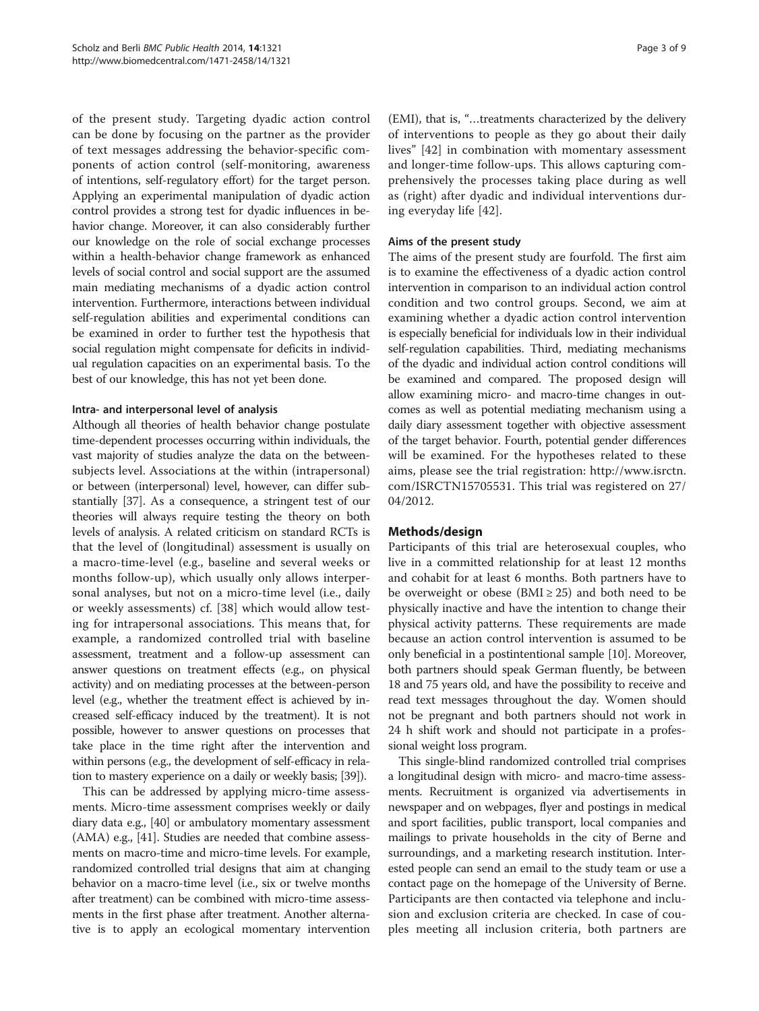of the present study. Targeting dyadic action control can be done by focusing on the partner as the provider of text messages addressing the behavior-specific components of action control (self-monitoring, awareness of intentions, self-regulatory effort) for the target person. Applying an experimental manipulation of dyadic action control provides a strong test for dyadic influences in behavior change. Moreover, it can also considerably further our knowledge on the role of social exchange processes within a health-behavior change framework as enhanced levels of social control and social support are the assumed main mediating mechanisms of a dyadic action control intervention. Furthermore, interactions between individual self-regulation abilities and experimental conditions can be examined in order to further test the hypothesis that social regulation might compensate for deficits in individual regulation capacities on an experimental basis. To the best of our knowledge, this has not yet been done.

#### Intra- and interpersonal level of analysis

Although all theories of health behavior change postulate time-dependent processes occurring within individuals, the vast majority of studies analyze the data on the betweensubjects level. Associations at the within (intrapersonal) or between (interpersonal) level, however, can differ substantially [\[37\]](#page-8-0). As a consequence, a stringent test of our theories will always require testing the theory on both levels of analysis. A related criticism on standard RCTs is that the level of (longitudinal) assessment is usually on a macro-time-level (e.g., baseline and several weeks or months follow-up), which usually only allows interpersonal analyses, but not on a micro-time level (i.e., daily or weekly assessments) cf. [\[38](#page-8-0)] which would allow testing for intrapersonal associations. This means that, for example, a randomized controlled trial with baseline assessment, treatment and a follow-up assessment can answer questions on treatment effects (e.g., on physical activity) and on mediating processes at the between-person level (e.g., whether the treatment effect is achieved by increased self-efficacy induced by the treatment). It is not possible, however to answer questions on processes that take place in the time right after the intervention and within persons (e.g., the development of self-efficacy in relation to mastery experience on a daily or weekly basis; [\[39\]](#page-8-0)).

This can be addressed by applying micro-time assessments. Micro-time assessment comprises weekly or daily diary data e.g., [[40\]](#page-8-0) or ambulatory momentary assessment (AMA) e.g., [\[41\]](#page-8-0). Studies are needed that combine assessments on macro-time and micro-time levels. For example, randomized controlled trial designs that aim at changing behavior on a macro-time level (i.e., six or twelve months after treatment) can be combined with micro-time assessments in the first phase after treatment. Another alternative is to apply an ecological momentary intervention

(EMI), that is, "…treatments characterized by the delivery of interventions to people as they go about their daily lives" [[42\]](#page-8-0) in combination with momentary assessment and longer-time follow-ups. This allows capturing comprehensively the processes taking place during as well as (right) after dyadic and individual interventions during everyday life [[42\]](#page-8-0).

#### Aims of the present study

The aims of the present study are fourfold. The first aim is to examine the effectiveness of a dyadic action control intervention in comparison to an individual action control condition and two control groups. Second, we aim at examining whether a dyadic action control intervention is especially beneficial for individuals low in their individual self-regulation capabilities. Third, mediating mechanisms of the dyadic and individual action control conditions will be examined and compared. The proposed design will allow examining micro- and macro-time changes in outcomes as well as potential mediating mechanism using a daily diary assessment together with objective assessment of the target behavior. Fourth, potential gender differences will be examined. For the hypotheses related to these aims, please see the trial registration: [http://www.isrctn.](http://www.isrctn.com/ISRCTN15705531) [com/ISRCTN15705531](http://www.isrctn.com/ISRCTN15705531). This trial was registered on 27/ 04/2012.

## Methods/design

Participants of this trial are heterosexual couples, who live in a committed relationship for at least 12 months and cohabit for at least 6 months. Both partners have to be overweight or obese ( $BMI \geq 25$ ) and both need to be physically inactive and have the intention to change their physical activity patterns. These requirements are made because an action control intervention is assumed to be only beneficial in a postintentional sample [\[10\]](#page-7-0). Moreover, both partners should speak German fluently, be between 18 and 75 years old, and have the possibility to receive and read text messages throughout the day. Women should not be pregnant and both partners should not work in 24 h shift work and should not participate in a professional weight loss program.

This single-blind randomized controlled trial comprises a longitudinal design with micro- and macro-time assessments. Recruitment is organized via advertisements in newspaper and on webpages, flyer and postings in medical and sport facilities, public transport, local companies and mailings to private households in the city of Berne and surroundings, and a marketing research institution. Interested people can send an email to the study team or use a contact page on the homepage of the University of Berne. Participants are then contacted via telephone and inclusion and exclusion criteria are checked. In case of couples meeting all inclusion criteria, both partners are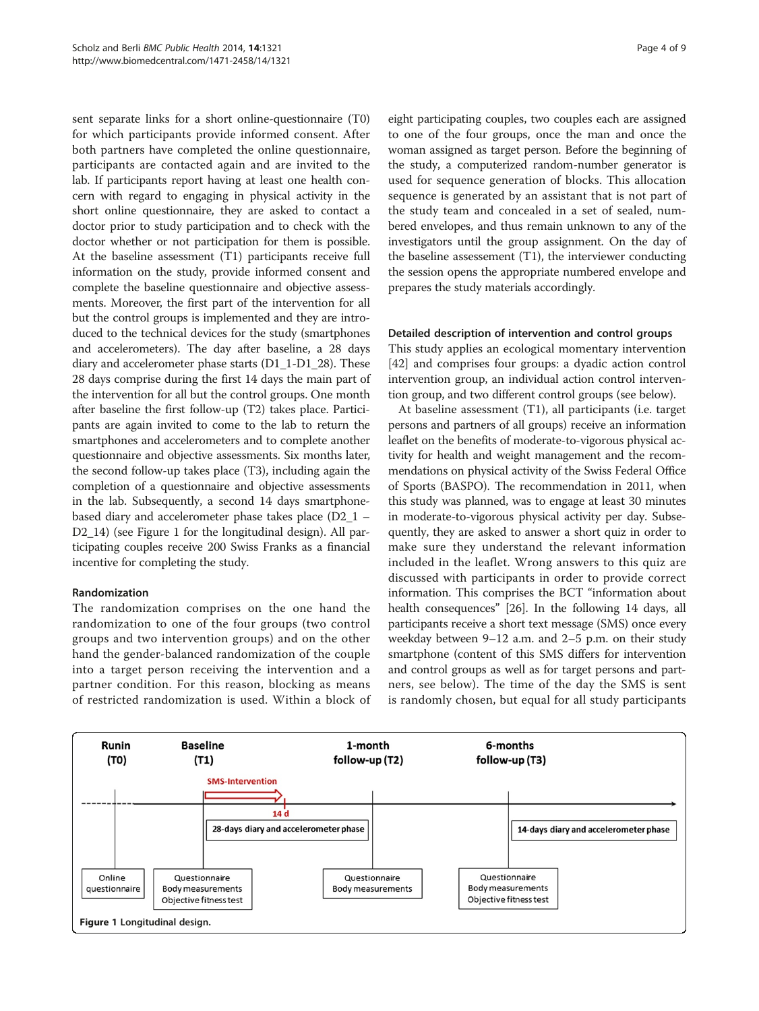sent separate links for a short online-questionnaire (T0) for which participants provide informed consent. After both partners have completed the online questionnaire, participants are contacted again and are invited to the lab. If participants report having at least one health concern with regard to engaging in physical activity in the short online questionnaire, they are asked to contact a doctor prior to study participation and to check with the doctor whether or not participation for them is possible. At the baseline assessment (T1) participants receive full information on the study, provide informed consent and complete the baseline questionnaire and objective assessments. Moreover, the first part of the intervention for all but the control groups is implemented and they are introduced to the technical devices for the study (smartphones and accelerometers). The day after baseline, a 28 days diary and accelerometer phase starts (D1\_1-D1\_28). These 28 days comprise during the first 14 days the main part of the intervention for all but the control groups. One month after baseline the first follow-up (T2) takes place. Participants are again invited to come to the lab to return the smartphones and accelerometers and to complete another questionnaire and objective assessments. Six months later, the second follow-up takes place (T3), including again the completion of a questionnaire and objective assessments in the lab. Subsequently, a second 14 days smartphonebased diary and accelerometer phase takes place (D2\_1 – D2\_14) (see Figure 1 for the longitudinal design). All participating couples receive 200 Swiss Franks as a financial incentive for completing the study.

## Randomization

The randomization comprises on the one hand the randomization to one of the four groups (two control groups and two intervention groups) and on the other hand the gender-balanced randomization of the couple into a target person receiving the intervention and a partner condition. For this reason, blocking as means of restricted randomization is used. Within a block of eight participating couples, two couples each are assigned to one of the four groups, once the man and once the woman assigned as target person. Before the beginning of the study, a computerized random-number generator is used for sequence generation of blocks. This allocation sequence is generated by an assistant that is not part of the study team and concealed in a set of sealed, numbered envelopes, and thus remain unknown to any of the investigators until the group assignment. On the day of the baseline assessement (T1), the interviewer conducting the session opens the appropriate numbered envelope and prepares the study materials accordingly.

## Detailed description of intervention and control groups

This study applies an ecological momentary intervention [[42\]](#page-8-0) and comprises four groups: a dyadic action control intervention group, an individual action control intervention group, and two different control groups (see below).

At baseline assessment (T1), all participants (i.e. target persons and partners of all groups) receive an information leaflet on the benefits of moderate-to-vigorous physical activity for health and weight management and the recommendations on physical activity of the Swiss Federal Office of Sports (BASPO). The recommendation in 2011, when this study was planned, was to engage at least 30 minutes in moderate-to-vigorous physical activity per day. Subsequently, they are asked to answer a short quiz in order to make sure they understand the relevant information included in the leaflet. Wrong answers to this quiz are discussed with participants in order to provide correct information. This comprises the BCT "information about health consequences" [[26](#page-7-0)]. In the following 14 days, all participants receive a short text message (SMS) once every weekday between 9–12 a.m. and 2–5 p.m. on their study smartphone (content of this SMS differs for intervention and control groups as well as for target persons and partners, see below). The time of the day the SMS is sent is randomly chosen, but equal for all study participants

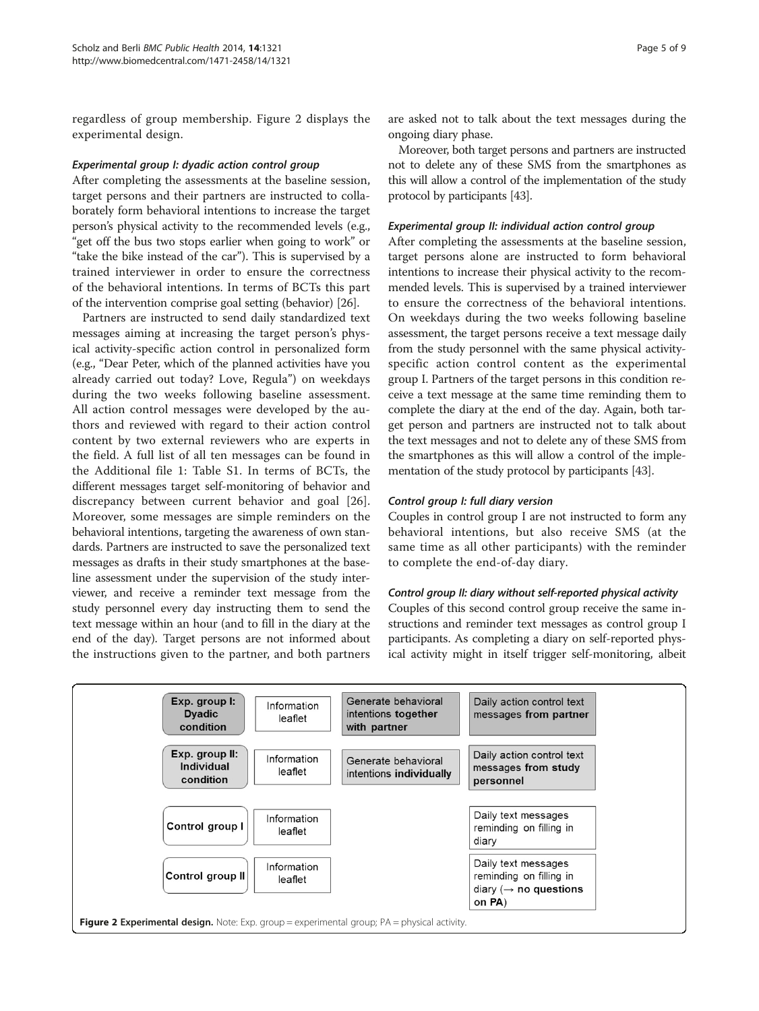regardless of group membership. Figure 2 displays the experimental design.

#### Experimental group I: dyadic action control group

After completing the assessments at the baseline session, target persons and their partners are instructed to collaborately form behavioral intentions to increase the target person's physical activity to the recommended levels (e.g., "get off the bus two stops earlier when going to work" or "take the bike instead of the car"). This is supervised by a trained interviewer in order to ensure the correctness of the behavioral intentions. In terms of BCTs this part of the intervention comprise goal setting (behavior) [\[26](#page-7-0)].

Partners are instructed to send daily standardized text messages aiming at increasing the target person's physical activity-specific action control in personalized form (e.g., "Dear Peter, which of the planned activities have you already carried out today? Love, Regula") on weekdays during the two weeks following baseline assessment. All action control messages were developed by the authors and reviewed with regard to their action control content by two external reviewers who are experts in the field. A full list of all ten messages can be found in the Additional file [1:](#page-7-0) Table S1. In terms of BCTs, the different messages target self-monitoring of behavior and discrepancy between current behavior and goal [\[26](#page-7-0)]. Moreover, some messages are simple reminders on the behavioral intentions, targeting the awareness of own standards. Partners are instructed to save the personalized text messages as drafts in their study smartphones at the baseline assessment under the supervision of the study interviewer, and receive a reminder text message from the study personnel every day instructing them to send the text message within an hour (and to fill in the diary at the end of the day). Target persons are not informed about the instructions given to the partner, and both partners

are asked not to talk about the text messages during the ongoing diary phase.

Moreover, both target persons and partners are instructed not to delete any of these SMS from the smartphones as this will allow a control of the implementation of the study protocol by participants [\[43\]](#page-8-0).

## Experimental group II: individual action control group

After completing the assessments at the baseline session, target persons alone are instructed to form behavioral intentions to increase their physical activity to the recommended levels. This is supervised by a trained interviewer to ensure the correctness of the behavioral intentions. On weekdays during the two weeks following baseline assessment, the target persons receive a text message daily from the study personnel with the same physical activityspecific action control content as the experimental group I. Partners of the target persons in this condition receive a text message at the same time reminding them to complete the diary at the end of the day. Again, both target person and partners are instructed not to talk about the text messages and not to delete any of these SMS from the smartphones as this will allow a control of the implementation of the study protocol by participants [[43](#page-8-0)].

## Control group I: full diary version

Couples in control group I are not instructed to form any behavioral intentions, but also receive SMS (at the same time as all other participants) with the reminder to complete the end-of-day diary.

## Control group II: diary without self-reported physical activity

Couples of this second control group receive the same instructions and reminder text messages as control group I participants. As completing a diary on self-reported physical activity might in itself trigger self-monitoring, albeit

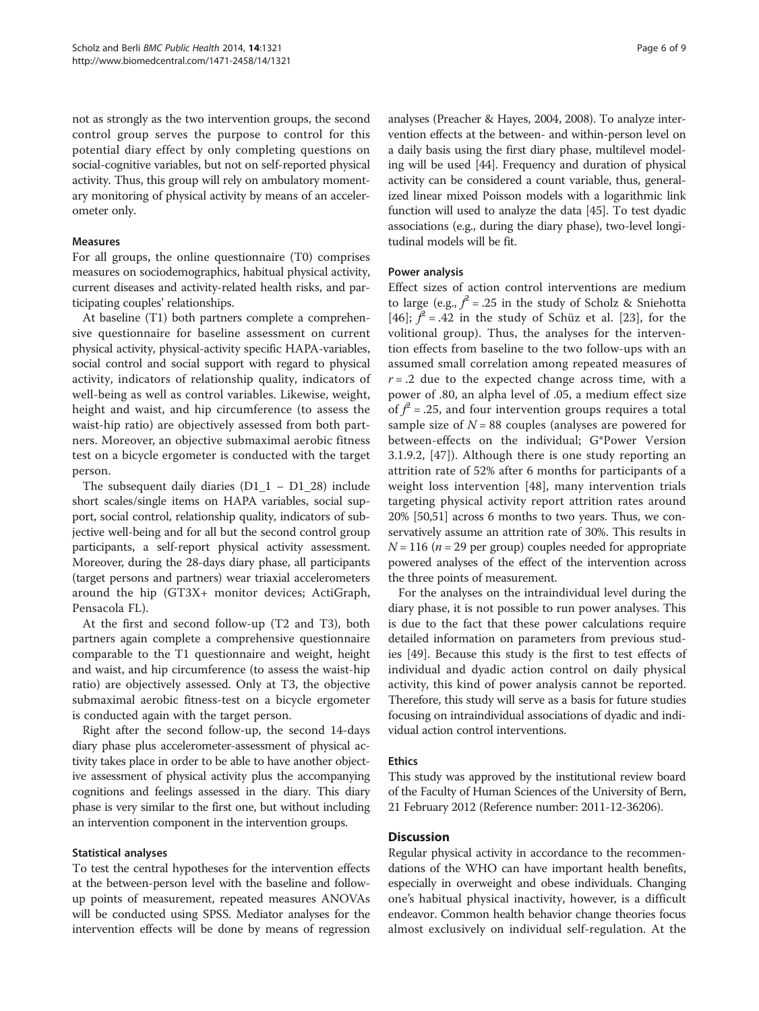not as strongly as the two intervention groups, the second control group serves the purpose to control for this potential diary effect by only completing questions on social-cognitive variables, but not on self-reported physical activity. Thus, this group will rely on ambulatory momentary monitoring of physical activity by means of an accelerometer only.

#### Measures

For all groups, the online questionnaire (T0) comprises measures on sociodemographics, habitual physical activity, current diseases and activity-related health risks, and participating couples' relationships.

At baseline (T1) both partners complete a comprehensive questionnaire for baseline assessment on current physical activity, physical-activity specific HAPA-variables, social control and social support with regard to physical activity, indicators of relationship quality, indicators of well-being as well as control variables. Likewise, weight, height and waist, and hip circumference (to assess the waist-hip ratio) are objectively assessed from both partners. Moreover, an objective submaximal aerobic fitness test on a bicycle ergometer is conducted with the target person.

The subsequent daily diaries  $(D1_1 - D1_28)$  include short scales/single items on HAPA variables, social support, social control, relationship quality, indicators of subjective well-being and for all but the second control group participants, a self-report physical activity assessment. Moreover, during the 28-days diary phase, all participants (target persons and partners) wear triaxial accelerometers around the hip (GT3X+ monitor devices; ActiGraph, Pensacola FL).

At the first and second follow-up (T2 and T3), both partners again complete a comprehensive questionnaire comparable to the T1 questionnaire and weight, height and waist, and hip circumference (to assess the waist-hip ratio) are objectively assessed. Only at T3, the objective submaximal aerobic fitness-test on a bicycle ergometer is conducted again with the target person.

Right after the second follow-up, the second 14-days diary phase plus accelerometer-assessment of physical activity takes place in order to be able to have another objective assessment of physical activity plus the accompanying cognitions and feelings assessed in the diary. This diary phase is very similar to the first one, but without including an intervention component in the intervention groups.

## Statistical analyses

To test the central hypotheses for the intervention effects at the between-person level with the baseline and followup points of measurement, repeated measures ANOVAs will be conducted using SPSS. Mediator analyses for the intervention effects will be done by means of regression

analyses (Preacher & Hayes, 2004, 2008). To analyze intervention effects at the between- and within-person level on a daily basis using the first diary phase, multilevel modeling will be used [\[44\]](#page-8-0). Frequency and duration of physical activity can be considered a count variable, thus, generalized linear mixed Poisson models with a logarithmic link function will used to analyze the data [[45\]](#page-8-0). To test dyadic associations (e.g., during the diary phase), two-level longitudinal models will be fit.

#### Power analysis

Effect sizes of action control interventions are medium to large (e.g.,  $f^2 = .25$  in the study of Scholz & Sniehotta [[46\]](#page-8-0);  $\hat{f}^2 = .42$  in the study of Schüz et al. [\[23](#page-7-0)], for the volitional group). Thus, the analyses for the intervention effects from baseline to the two follow-ups with an assumed small correlation among repeated measures of  $r = .2$  due to the expected change across time, with a power of .80, an alpha level of .05, a medium effect size of  $f^2$  = .25, and four intervention groups requires a total sample size of  $N = 88$  couples (analyses are powered for between-effects on the individual; G\*Power Version 3.1.9.2, [[47\]](#page-8-0)). Although there is one study reporting an attrition rate of 52% after 6 months for participants of a weight loss intervention [\[48](#page-8-0)], many intervention trials targeting physical activity report attrition rates around 20% [\[50,51\]](#page-8-0) across 6 months to two years. Thus, we conservatively assume an attrition rate of 30%. This results in  $N = 116$  ( $n = 29$  per group) couples needed for appropriate powered analyses of the effect of the intervention across the three points of measurement.

For the analyses on the intraindividual level during the diary phase, it is not possible to run power analyses. This is due to the fact that these power calculations require detailed information on parameters from previous studies [[49](#page-8-0)]. Because this study is the first to test effects of individual and dyadic action control on daily physical activity, this kind of power analysis cannot be reported. Therefore, this study will serve as a basis for future studies focusing on intraindividual associations of dyadic and individual action control interventions.

#### Ethics

This study was approved by the institutional review board of the Faculty of Human Sciences of the University of Bern, 21 February 2012 (Reference number: 2011-12-36206).

## **Discussion**

Regular physical activity in accordance to the recommendations of the WHO can have important health benefits, especially in overweight and obese individuals. Changing one's habitual physical inactivity, however, is a difficult endeavor. Common health behavior change theories focus almost exclusively on individual self-regulation. At the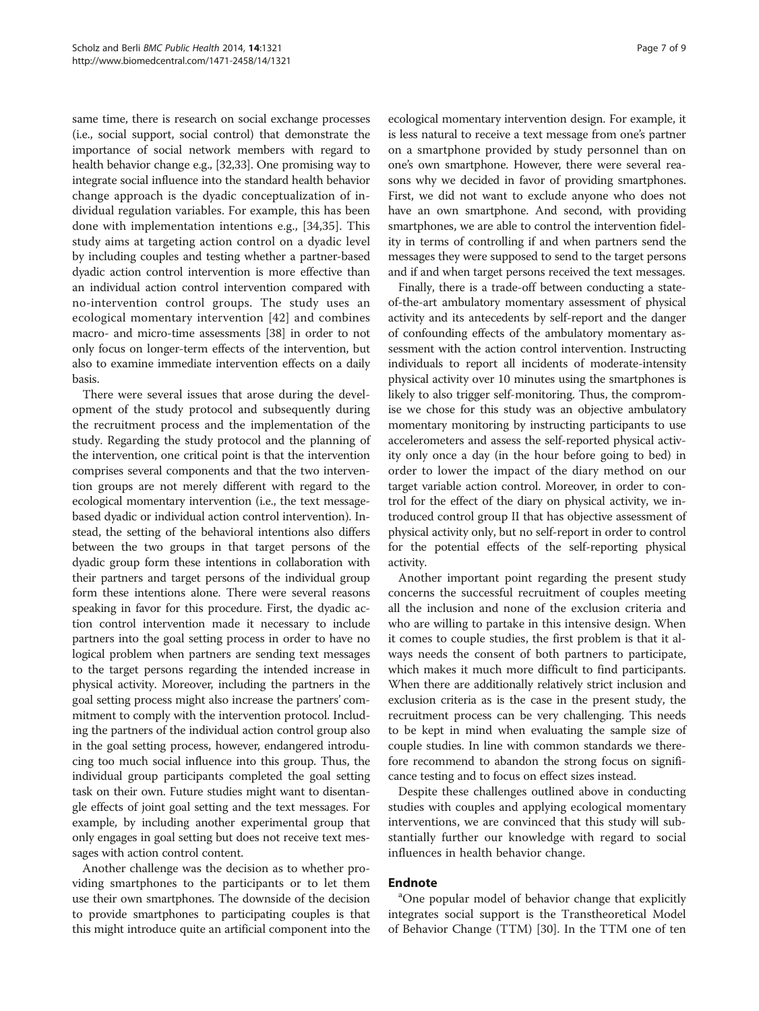same time, there is research on social exchange processes (i.e., social support, social control) that demonstrate the importance of social network members with regard to health behavior change e.g., [\[32,33\]](#page-7-0). One promising way to integrate social influence into the standard health behavior change approach is the dyadic conceptualization of individual regulation variables. For example, this has been done with implementation intentions e.g., [[34,35](#page-7-0)]. This study aims at targeting action control on a dyadic level by including couples and testing whether a partner-based dyadic action control intervention is more effective than an individual action control intervention compared with no-intervention control groups. The study uses an ecological momentary intervention [[42](#page-8-0)] and combines macro- and micro-time assessments [\[38](#page-8-0)] in order to not only focus on longer-term effects of the intervention, but also to examine immediate intervention effects on a daily basis.

There were several issues that arose during the development of the study protocol and subsequently during the recruitment process and the implementation of the study. Regarding the study protocol and the planning of the intervention, one critical point is that the intervention comprises several components and that the two intervention groups are not merely different with regard to the ecological momentary intervention (i.e., the text messagebased dyadic or individual action control intervention). Instead, the setting of the behavioral intentions also differs between the two groups in that target persons of the dyadic group form these intentions in collaboration with their partners and target persons of the individual group form these intentions alone. There were several reasons speaking in favor for this procedure. First, the dyadic action control intervention made it necessary to include partners into the goal setting process in order to have no logical problem when partners are sending text messages to the target persons regarding the intended increase in physical activity. Moreover, including the partners in the goal setting process might also increase the partners' commitment to comply with the intervention protocol. Including the partners of the individual action control group also in the goal setting process, however, endangered introducing too much social influence into this group. Thus, the individual group participants completed the goal setting task on their own. Future studies might want to disentangle effects of joint goal setting and the text messages. For example, by including another experimental group that only engages in goal setting but does not receive text messages with action control content.

Another challenge was the decision as to whether providing smartphones to the participants or to let them use their own smartphones. The downside of the decision to provide smartphones to participating couples is that this might introduce quite an artificial component into the

ecological momentary intervention design. For example, it is less natural to receive a text message from one's partner on a smartphone provided by study personnel than on one's own smartphone. However, there were several reasons why we decided in favor of providing smartphones. First, we did not want to exclude anyone who does not have an own smartphone. And second, with providing smartphones, we are able to control the intervention fidelity in terms of controlling if and when partners send the messages they were supposed to send to the target persons and if and when target persons received the text messages.

Finally, there is a trade-off between conducting a stateof-the-art ambulatory momentary assessment of physical activity and its antecedents by self-report and the danger of confounding effects of the ambulatory momentary assessment with the action control intervention. Instructing individuals to report all incidents of moderate-intensity physical activity over 10 minutes using the smartphones is likely to also trigger self-monitoring. Thus, the compromise we chose for this study was an objective ambulatory momentary monitoring by instructing participants to use accelerometers and assess the self-reported physical activity only once a day (in the hour before going to bed) in order to lower the impact of the diary method on our target variable action control. Moreover, in order to control for the effect of the diary on physical activity, we introduced control group II that has objective assessment of physical activity only, but no self-report in order to control for the potential effects of the self-reporting physical activity.

Another important point regarding the present study concerns the successful recruitment of couples meeting all the inclusion and none of the exclusion criteria and who are willing to partake in this intensive design. When it comes to couple studies, the first problem is that it always needs the consent of both partners to participate, which makes it much more difficult to find participants. When there are additionally relatively strict inclusion and exclusion criteria as is the case in the present study, the recruitment process can be very challenging. This needs to be kept in mind when evaluating the sample size of couple studies. In line with common standards we therefore recommend to abandon the strong focus on significance testing and to focus on effect sizes instead.

Despite these challenges outlined above in conducting studies with couples and applying ecological momentary interventions, we are convinced that this study will substantially further our knowledge with regard to social influences in health behavior change.

#### **Endnote**

One popular model of behavior change that explicitly integrates social support is the Transtheoretical Model of Behavior Change (TTM) [\[30](#page-7-0)]. In the TTM one of ten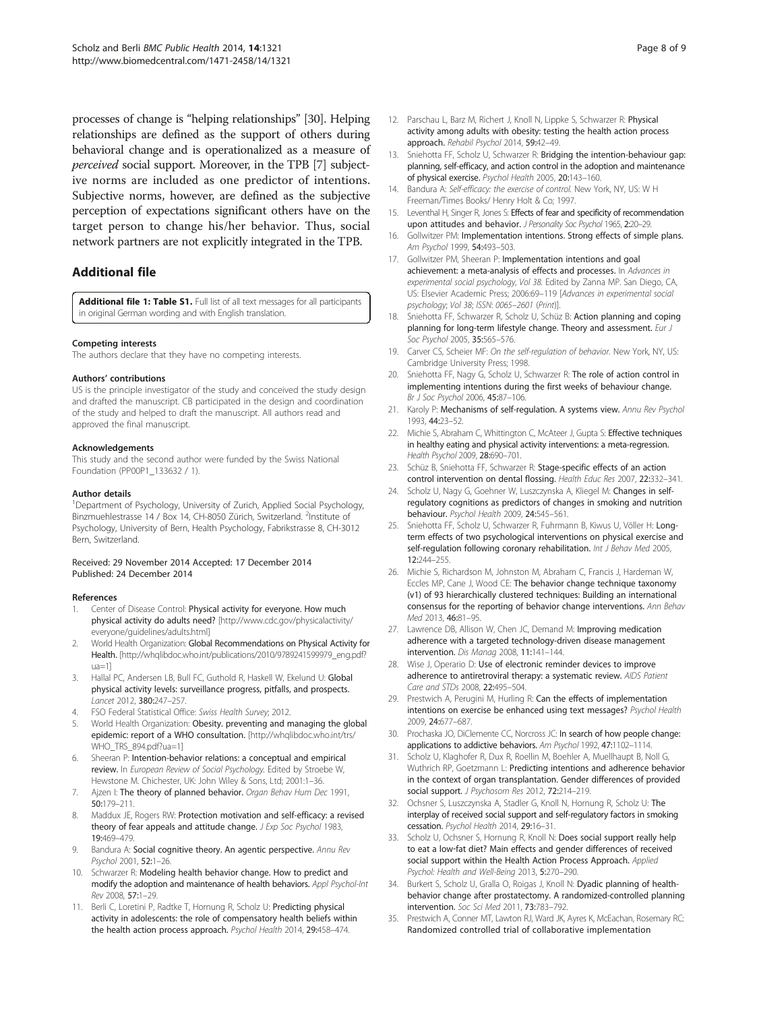<span id="page-7-0"></span>processes of change is "helping relationships" [30]. Helping relationships are defined as the support of others during behavioral change and is operationalized as a measure of perceived social support. Moreover, in the TPB [7] subjective norms are included as one predictor of intentions. Subjective norms, however, are defined as the subjective perception of expectations significant others have on the target person to change his/her behavior. Thus, social network partners are not explicitly integrated in the TPB.

## Additional file

[Additional file 1: Table S1.](http://www.biomedcentral.com/content/supplementary/1471-2458-14-1321-S1.docx) Full list of all text messages for all participants in original German wording and with English translation.

#### Competing interests

The authors declare that they have no competing interests.

#### Authors' contributions

US is the principle investigator of the study and conceived the study design and drafted the manuscript. CB participated in the design and coordination of the study and helped to draft the manuscript. All authors read and approved the final manuscript.

#### Acknowledgements

This study and the second author were funded by the Swiss National Foundation (PP00P1\_133632 / 1).

#### Author details

<sup>1</sup>Department of Psychology, University of Zurich, Applied Social Psychology, Binzmuehlestrasse 14 / Box 14, CH-8050 Zürich, Switzerland. <sup>2</sup>Institute of Psychology, University of Bern, Health Psychology, Fabrikstrasse 8, CH-3012 Bern, Switzerland.

#### Received: 29 November 2014 Accepted: 17 December 2014 Published: 24 December 2014

#### References

- 1. Center of Disease Control: Physical activity for everyone. How much physical activity do adults need? [\[http://www.cdc.gov/physicalactivity/](http://www.cdc.gov/physicalactivity/everyone/guidelines/adults.html) [everyone/guidelines/adults.html](http://www.cdc.gov/physicalactivity/everyone/guidelines/adults.html)]
- 2. World Health Organization: Global Recommendations on Physical Activity for Health. [[http://whqlibdoc.who.int/publications/2010/9789241599979\\_eng.pdf?](http://whqlibdoc.who.int/publications/2010/9789241599979_eng.pdf?ua=1)  $ua=1$ ]
- 3. Hallal PC, Andersen LB, Bull FC, Guthold R, Haskell W, Ekelund U: Global physical activity levels: surveillance progress, pitfalls, and prospects. Lancet 2012, 380:247–257.
- FSO Federal Statistical Office: Swiss Health Survey; 2012.
- World Health Organization: Obesity. preventing and managing the global epidemic: report of a WHO consultation. [[http://whqlibdoc.who.int/trs/](http://whqlibdoc.who.int/trs/WHO_TRS_894.pdf?ua=1) [WHO\\_TRS\\_894.pdf?ua=1](http://whqlibdoc.who.int/trs/WHO_TRS_894.pdf?ua=1)]
- 6. Sheeran P: Intention-behavior relations: a conceptual and empirical review. In European Review of Social Psychology. Edited by Stroebe W, Hewstone M. Chichester, UK: John Wiley & Sons, Ltd; 2001:1–36.
- 7. Ajzen I: The theory of planned behavior. Organ Behav Hum Dec 1991, 50:179–211.
- Maddux JE, Rogers RW: Protection motivation and self-efficacy: a revised theory of fear appeals and attitude change. J Exp Soc Psychol 1983, 19:469–479.
- 9. Bandura A: Social cognitive theory. An agentic perspective. Annu Rev Psychol 2001, 52:1–26.
- 10. Schwarzer R: Modeling health behavior change. How to predict and modify the adoption and maintenance of health behaviors. Appl Psychol-Int Rev 2008, 57:1–29.
- 11. Berli C, Loretini P, Radtke T, Hornung R, Scholz U: Predicting physical activity in adolescents: the role of compensatory health beliefs within the health action process approach. Psychol Health 2014, 29:458-474.
- 12. Parschau L, Barz M, Richert J, Knoll N, Lippke S, Schwarzer R: Physical activity among adults with obesity: testing the health action process approach. Rehabil Psychol 2014, 59:42–49.
- 13. Sniehotta FF, Scholz U, Schwarzer R: Bridging the intention-behaviour gap: planning, self-efficacy, and action control in the adoption and maintenance of physical exercise. Psychol Health 2005, 20:143–160.
- 14. Bandura A: Self-efficacy: the exercise of control. New York, NY, US: W H Freeman/Times Books/ Henry Holt & Co; 1997.
- 15. Leventhal H, Singer R, Jones S: Effects of fear and specificity of recommendation upon attitudes and behavior. J Personality Soc Psychol 1965, 2:20-29.
- 16. Gollwitzer PM: Implementation intentions. Strong effects of simple plans. Am Psychol 1999, 54:493–503.
- 17. Gollwitzer PM, Sheeran P: Implementation intentions and goal achievement: a meta-analysis of effects and processes. In Advances in experimental social psychology, Vol 38. Edited by Zanna MP. San Diego, CA, US: Elsevier Academic Press; 2006:69–119 [Advances in experimental social psychology; Vol 38; ISSN: 0065–2601 (Print)].
- 18. Sniehotta FF, Schwarzer R, Scholz U, Schüz B: Action planning and coping planning for long-term lifestyle change. Theory and assessment. Eur J Soc Psychol 2005, 35:565–576.
- 19. Carver CS, Scheier MF: On the self-regulation of behavior. New York, NY, US: Cambridge University Press; 1998.
- 20. Sniehotta FF, Nagy G, Scholz U, Schwarzer R: The role of action control in implementing intentions during the first weeks of behaviour change. Br J Soc Psychol 2006, 45:87–106.
- 21. Karoly P: Mechanisms of self-regulation. A systems view. Annu Rev Psychol 1993, 44:23–52.
- 22. Michie S, Abraham C, Whittington C, McAteer J, Gupta S: Effective techniques in healthy eating and physical activity interventions: a meta-regression. Health Psychol 2009, 28:690–701.
- 23. Schüz B, Sniehotta FF, Schwarzer R: Stage-specific effects of an action control intervention on dental flossing. Health Educ Res 2007, 22:332–341.
- 24. Scholz U, Nagy G, Goehner W, Luszczynska A, Kliegel M: Changes in selfregulatory cognitions as predictors of changes in smoking and nutrition behaviour. Psychol Health 2009, 24:545-561.
- 25. Sniehotta FF, Scholz U, Schwarzer R, Fuhrmann B, Kiwus U, Völler H: Longterm effects of two psychological interventions on physical exercise and self-regulation following coronary rehabilitation. Int J Behav Med 2005, 12:244–255.
- 26. Michie S, Richardson M, Johnston M, Abraham C, Francis J, Hardeman W, Eccles MP, Cane J, Wood CE: The behavior change technique taxonomy (v1) of 93 hierarchically clustered techniques: Building an international consensus for the reporting of behavior change interventions. Ann Behav Med 2013, 46:81–95.
- 27. Lawrence DB, Allison W, Chen JC, Demand M: Improving medication adherence with a targeted technology-driven disease management intervention. Dis Manag 2008, 11:141–144.
- 28. Wise J, Operario D: Use of electronic reminder devices to improve adherence to antiretroviral therapy: a systematic review. AIDS Patient Care and STDs 2008, 22:495-504.
- 29. Prestwich A, Perugini M, Hurling R: Can the effects of implementation intentions on exercise be enhanced using text messages? Psychol Health 2009, 24:677–687.
- 30. Prochaska JO, DiClemente CC, Norcross JC: In search of how people change: applications to addictive behaviors. Am Psychol 1992, 47:1102–1114.
- 31. Scholz U, Klaghofer R, Dux R, Roellin M, Boehler A, Muellhaupt B, Noll G, Wuthrich RP, Goetzmann L: Predicting intentions and adherence behavior in the context of organ transplantation. Gender differences of provided social support. J Psychosom Res 2012, 72:214-219.
- 32. Ochsner S, Luszczynska A, Stadler G, Knoll N, Hornung R, Scholz U: The interplay of received social support and self-regulatory factors in smoking cessation. Psychol Health 2014, 29:16–31.
- 33. Scholz U, Ochsner S, Hornung R, Knoll N: Does social support really help to eat a low‐fat diet? Main effects and gender differences of received social support within the Health Action Process Approach. Applied Psychol: Health and Well-Being 2013, 5:270–290.
- 34. Burkert S, Scholz U, Gralla O, Roigas J, Knoll N: Dyadic planning of healthbehavior change after prostatectomy. A randomized-controlled planning intervention. Soc Sci Med 2011, 73:783–792.
- 35. Prestwich A, Conner MT, Lawton RJ, Ward JK, Ayres K, McEachan, Rosemary RC: Randomized controlled trial of collaborative implementation